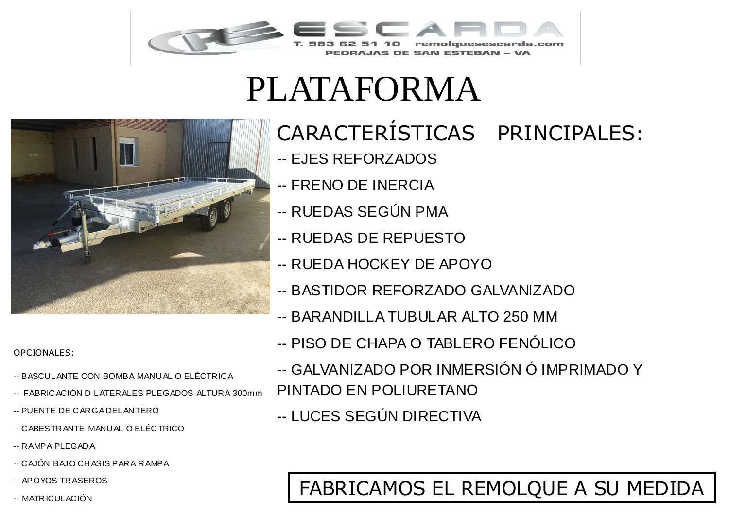

## PLATAFORMA



OPCIONALES:

- -- BASCULANTE CON BOMBA MANUAL O ELÉCTRICA
- -- FABRICACIÓN D LATERALES PLEGADOS ALTURA 300mm
- -- PUENTE DE CARGA DELANTERO
- -- CABESTRANTE MANUAL O ELÉCTRICO
- -- RAMPA PLEGADA
- -- CAJÓN BAJO CHASIS PARA RAMPA
- -- APOYOS TRASEROS
- 

## CARACTERÍSTICAS PRINCIPALES:

- -- EJES REFORZADOS
- -- FRENO DE INERCIA
- -- RUEDAS SEGÚN PMA
- -- RUEDAS DE REPUESTO
- -- RUEDA HOCKEY DE APOYO
- -- BASTIDOR REFORZADO GALVANIZADO
- -- BARANDILLA TUBULAR ALTO 250 MM
- -- PISO DE CHAPA O TABLERO FENÓLICO
- -- GALVANIZADO POR INMERSIÓN Ó IMPRIMADO Y PINTADO EN POLIURETANO
- -- LUCES SEGÚN DIRECTIVA

## -- APOYOS IRASEROS<br>-- MATRICULACIÓN